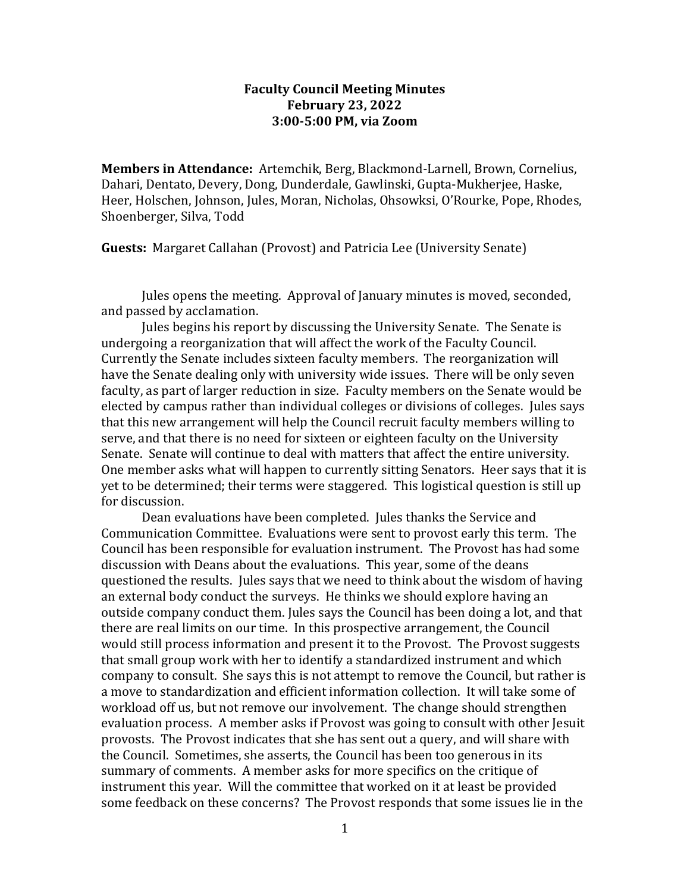## **Faculty Council Meeting Minutes February 23, 2022 3:00-5:00 PM, via Zoom**

**Members in Attendance:** Artemchik, Berg, Blackmond-Larnell, Brown, Cornelius, Dahari, Dentato, Devery, Dong, Dunderdale, Gawlinski, Gupta-Mukherjee, Haske, Heer, Holschen, Johnson, Jules, Moran, Nicholas, Ohsowksi, O'Rourke, Pope, Rhodes, Shoenberger, Silva, Todd

**Guests:** Margaret Callahan (Provost) and Patricia Lee (University Senate)

Jules opens the meeting. Approval of January minutes is moved, seconded, and passed by acclamation.

Jules begins his report by discussing the University Senate. The Senate is undergoing a reorganization that will affect the work of the Faculty Council. Currently the Senate includes sixteen faculty members. The reorganization will have the Senate dealing only with university wide issues. There will be only seven faculty, as part of larger reduction in size. Faculty members on the Senate would be elected by campus rather than individual colleges or divisions of colleges. Jules says that this new arrangement will help the Council recruit faculty members willing to serve, and that there is no need for sixteen or eighteen faculty on the University Senate. Senate will continue to deal with matters that affect the entire university. One member asks what will happen to currently sitting Senators. Heer says that it is yet to be determined; their terms were staggered. This logistical question is still up for discussion.

Dean evaluations have been completed. Jules thanks the Service and Communication Committee. Evaluations were sent to provost early this term. The Council has been responsible for evaluation instrument. The Provost has had some discussion with Deans about the evaluations. This year, some of the deans questioned the results. Jules says that we need to think about the wisdom of having an external body conduct the surveys. He thinks we should explore having an outside company conduct them. Jules says the Council has been doing a lot, and that there are real limits on our time. In this prospective arrangement, the Council would still process information and present it to the Provost. The Provost suggests that small group work with her to identify a standardized instrument and which company to consult. She says this is not attempt to remove the Council, but rather is a move to standardization and efficient information collection. It will take some of workload off us, but not remove our involvement. The change should strengthen evaluation process. A member asks if Provost was going to consult with other Jesuit provosts. The Provost indicates that she has sent out a query, and will share with the Council. Sometimes, she asserts, the Council has been too generous in its summary of comments. A member asks for more specifics on the critique of instrument this year. Will the committee that worked on it at least be provided some feedback on these concerns? The Provost responds that some issues lie in the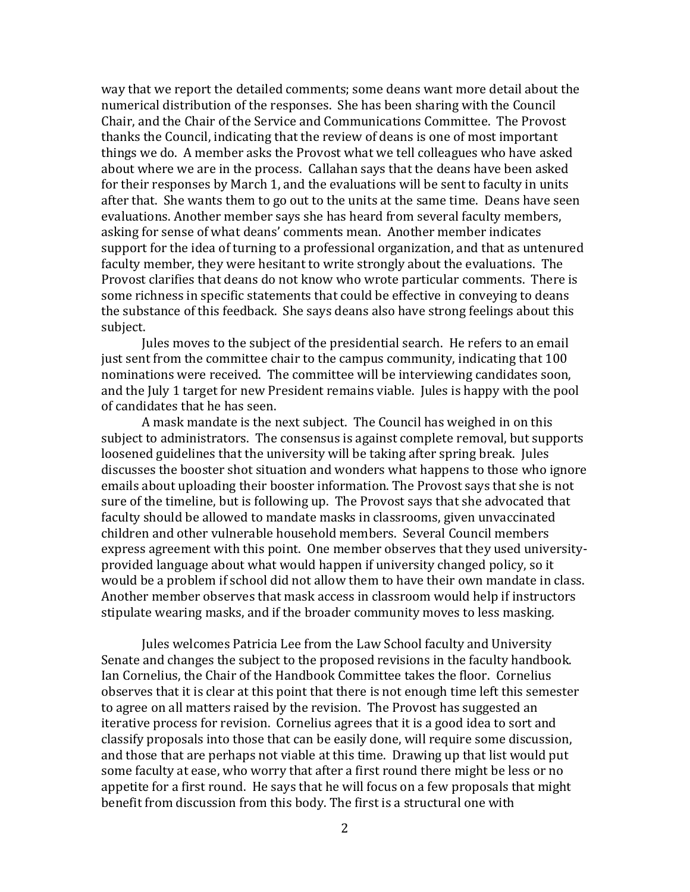way that we report the detailed comments; some deans want more detail about the numerical distribution of the responses. She has been sharing with the Council Chair, and the Chair of the Service and Communications Committee. The Provost thanks the Council, indicating that the review of deans is one of most important things we do. A member asks the Provost what we tell colleagues who have asked about where we are in the process. Callahan says that the deans have been asked for their responses by March 1, and the evaluations will be sent to faculty in units after that. She wants them to go out to the units at the same time. Deans have seen evaluations. Another member says she has heard from several faculty members, asking for sense of what deans' comments mean. Another member indicates support for the idea of turning to a professional organization, and that as untenured faculty member, they were hesitant to write strongly about the evaluations. The Provost clarifies that deans do not know who wrote particular comments. There is some richness in specific statements that could be effective in conveying to deans the substance of this feedback. She says deans also have strong feelings about this subject.

Jules moves to the subject of the presidential search. He refers to an email just sent from the committee chair to the campus community, indicating that 100 nominations were received. The committee will be interviewing candidates soon, and the July 1 target for new President remains viable. Jules is happy with the pool of candidates that he has seen.

A mask mandate is the next subject. The Council has weighed in on this subject to administrators. The consensus is against complete removal, but supports loosened guidelines that the university will be taking after spring break. Jules discusses the booster shot situation and wonders what happens to those who ignore emails about uploading their booster information. The Provost says that she is not sure of the timeline, but is following up. The Provost says that she advocated that faculty should be allowed to mandate masks in classrooms, given unvaccinated children and other vulnerable household members. Several Council members express agreement with this point. One member observes that they used universityprovided language about what would happen if university changed policy, so it would be a problem if school did not allow them to have their own mandate in class. Another member observes that mask access in classroom would help if instructors stipulate wearing masks, and if the broader community moves to less masking.

Jules welcomes Patricia Lee from the Law School faculty and University Senate and changes the subject to the proposed revisions in the faculty handbook. Ian Cornelius, the Chair of the Handbook Committee takes the floor. Cornelius observes that it is clear at this point that there is not enough time left this semester to agree on all matters raised by the revision. The Provost has suggested an iterative process for revision. Cornelius agrees that it is a good idea to sort and classify proposals into those that can be easily done, will require some discussion, and those that are perhaps not viable at this time. Drawing up that list would put some faculty at ease, who worry that after a first round there might be less or no appetite for a first round. He says that he will focus on a few proposals that might benefit from discussion from this body. The first is a structural one with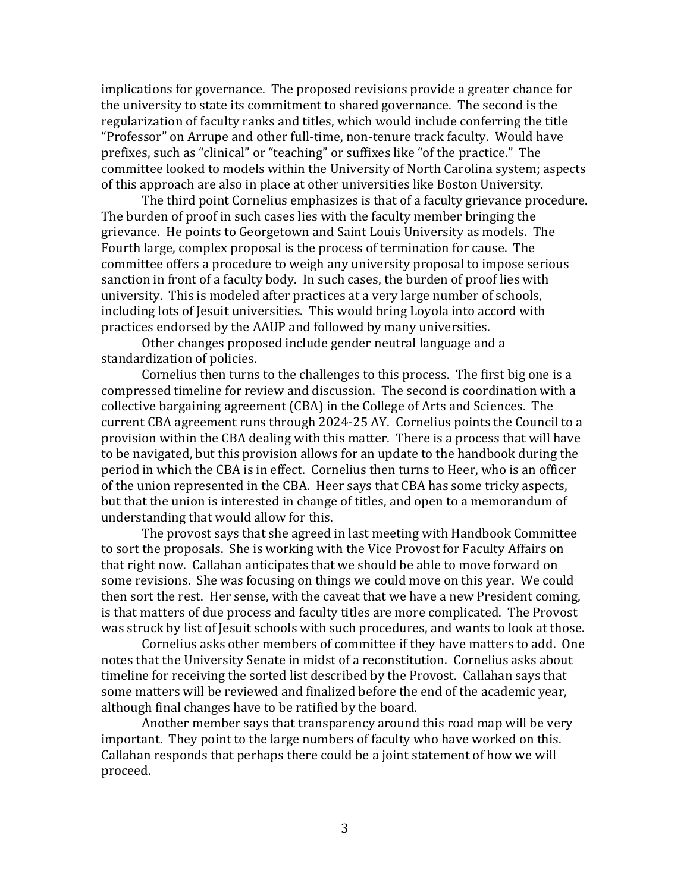implications for governance. The proposed revisions provide a greater chance for the university to state its commitment to shared governance. The second is the regularization of faculty ranks and titles, which would include conferring the title "Professor" on Arrupe and other full-time, non-tenure track faculty. Would have prefixes, such as "clinical" or "teaching" or suffixes like "of the practice." The committee looked to models within the University of North Carolina system; aspects of this approach are also in place at other universities like Boston University.

The third point Cornelius emphasizes is that of a faculty grievance procedure. The burden of proof in such cases lies with the faculty member bringing the grievance. He points to Georgetown and Saint Louis University as models. The Fourth large, complex proposal is the process of termination for cause. The committee offers a procedure to weigh any university proposal to impose serious sanction in front of a faculty body. In such cases, the burden of proof lies with university. This is modeled after practices at a very large number of schools, including lots of Jesuit universities. This would bring Loyola into accord with practices endorsed by the AAUP and followed by many universities.

Other changes proposed include gender neutral language and a standardization of policies.

Cornelius then turns to the challenges to this process. The first big one is a compressed timeline for review and discussion. The second is coordination with a collective bargaining agreement (CBA) in the College of Arts and Sciences. The current CBA agreement runs through 2024-25 AY. Cornelius points the Council to a provision within the CBA dealing with this matter. There is a process that will have to be navigated, but this provision allows for an update to the handbook during the period in which the CBA is in effect. Cornelius then turns to Heer, who is an officer of the union represented in the CBA. Heer says that CBA has some tricky aspects, but that the union is interested in change of titles, and open to a memorandum of understanding that would allow for this.

The provost says that she agreed in last meeting with Handbook Committee to sort the proposals. She is working with the Vice Provost for Faculty Affairs on that right now. Callahan anticipates that we should be able to move forward on some revisions. She was focusing on things we could move on this year. We could then sort the rest. Her sense, with the caveat that we have a new President coming, is that matters of due process and faculty titles are more complicated. The Provost was struck by list of Jesuit schools with such procedures, and wants to look at those.

Cornelius asks other members of committee if they have matters to add. One notes that the University Senate in midst of a reconstitution. Cornelius asks about timeline for receiving the sorted list described by the Provost. Callahan says that some matters will be reviewed and finalized before the end of the academic year, although final changes have to be ratified by the board.

Another member says that transparency around this road map will be very important. They point to the large numbers of faculty who have worked on this. Callahan responds that perhaps there could be a joint statement of how we will proceed.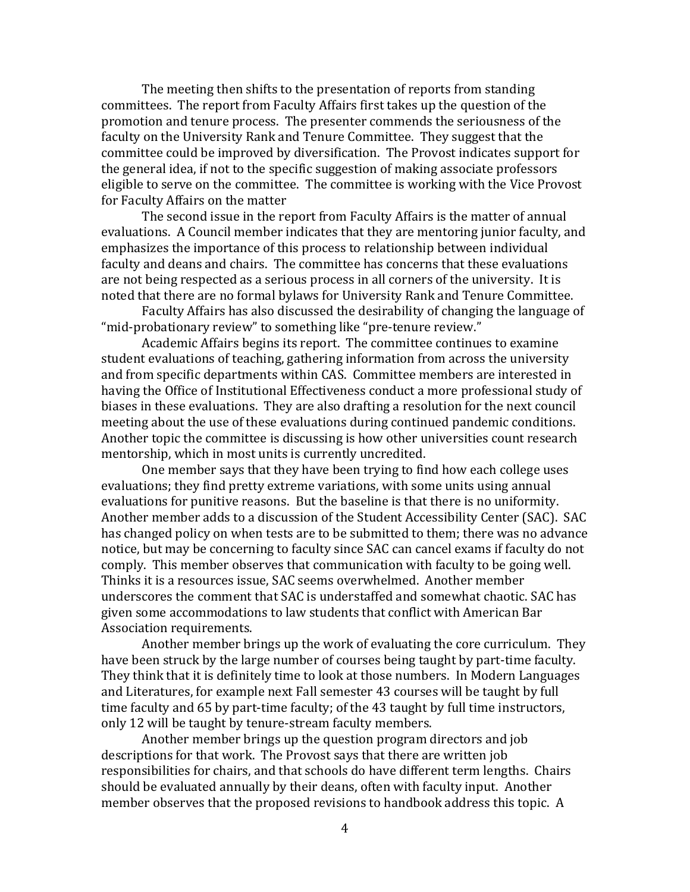The meeting then shifts to the presentation of reports from standing committees. The report from Faculty Affairs first takes up the question of the promotion and tenure process. The presenter commends the seriousness of the faculty on the University Rank and Tenure Committee. They suggest that the committee could be improved by diversification. The Provost indicates support for the general idea, if not to the specific suggestion of making associate professors eligible to serve on the committee. The committee is working with the Vice Provost for Faculty Affairs on the matter

The second issue in the report from Faculty Affairs is the matter of annual evaluations. A Council member indicates that they are mentoring junior faculty, and emphasizes the importance of this process to relationship between individual faculty and deans and chairs. The committee has concerns that these evaluations are not being respected as a serious process in all corners of the university. It is noted that there are no formal bylaws for University Rank and Tenure Committee.

Faculty Affairs has also discussed the desirability of changing the language of "mid-probationary review" to something like "pre-tenure review."

Academic Affairs begins its report. The committee continues to examine student evaluations of teaching, gathering information from across the university and from specific departments within CAS. Committee members are interested in having the Office of Institutional Effectiveness conduct a more professional study of biases in these evaluations. They are also drafting a resolution for the next council meeting about the use of these evaluations during continued pandemic conditions. Another topic the committee is discussing is how other universities count research mentorship, which in most units is currently uncredited.

One member says that they have been trying to find how each college uses evaluations; they find pretty extreme variations, with some units using annual evaluations for punitive reasons. But the baseline is that there is no uniformity. Another member adds to a discussion of the Student Accessibility Center (SAC). SAC has changed policy on when tests are to be submitted to them; there was no advance notice, but may be concerning to faculty since SAC can cancel exams if faculty do not comply. This member observes that communication with faculty to be going well. Thinks it is a resources issue, SAC seems overwhelmed. Another member underscores the comment that SAC is understaffed and somewhat chaotic. SAC has given some accommodations to law students that conflict with American Bar Association requirements.

Another member brings up the work of evaluating the core curriculum. They have been struck by the large number of courses being taught by part-time faculty. They think that it is definitely time to look at those numbers. In Modern Languages and Literatures, for example next Fall semester 43 courses will be taught by full time faculty and 65 by part-time faculty; of the 43 taught by full time instructors, only 12 will be taught by tenure-stream faculty members.

Another member brings up the question program directors and job descriptions for that work. The Provost says that there are written job responsibilities for chairs, and that schools do have different term lengths. Chairs should be evaluated annually by their deans, often with faculty input. Another member observes that the proposed revisions to handbook address this topic. A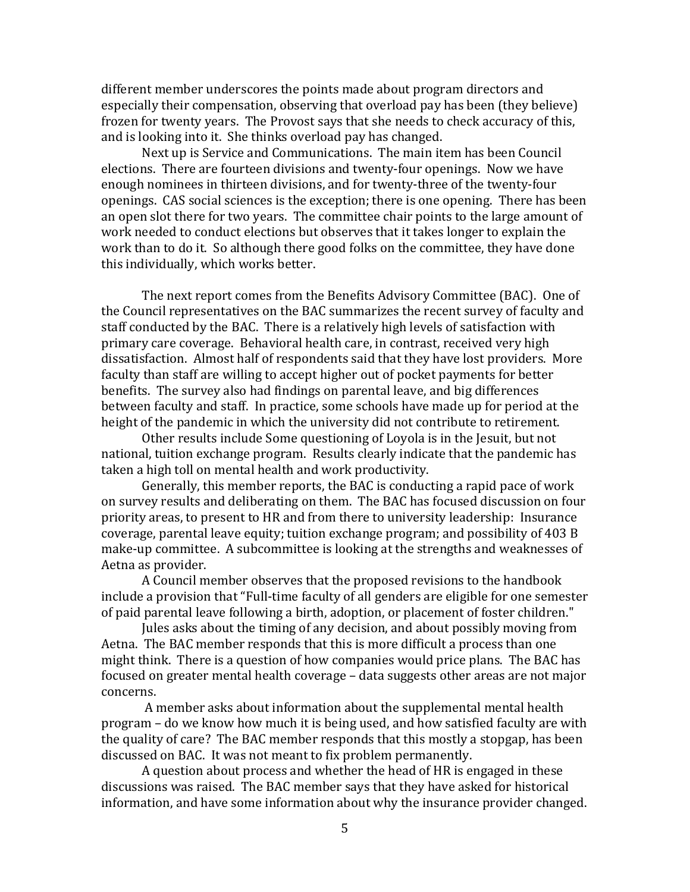different member underscores the points made about program directors and especially their compensation, observing that overload pay has been (they believe) frozen for twenty years. The Provost says that she needs to check accuracy of this, and is looking into it. She thinks overload pay has changed.

Next up is Service and Communications. The main item has been Council elections. There are fourteen divisions and twenty-four openings. Now we have enough nominees in thirteen divisions, and for twenty-three of the twenty-four openings. CAS social sciences is the exception; there is one opening. There has been an open slot there for two years. The committee chair points to the large amount of work needed to conduct elections but observes that it takes longer to explain the work than to do it. So although there good folks on the committee, they have done this individually, which works better.

The next report comes from the Benefits Advisory Committee (BAC). One of the Council representatives on the BAC summarizes the recent survey of faculty and staff conducted by the BAC. There is a relatively high levels of satisfaction with primary care coverage. Behavioral health care, in contrast, received very high dissatisfaction. Almost half of respondents said that they have lost providers. More faculty than staff are willing to accept higher out of pocket payments for better benefits. The survey also had findings on parental leave, and big differences between faculty and staff. In practice, some schools have made up for period at the height of the pandemic in which the university did not contribute to retirement.

Other results include Some questioning of Loyola is in the Jesuit, but not national, tuition exchange program. Results clearly indicate that the pandemic has taken a high toll on mental health and work productivity.

Generally, this member reports, the BAC is conducting a rapid pace of work on survey results and deliberating on them. The BAC has focused discussion on four priority areas, to present to HR and from there to university leadership: Insurance coverage, parental leave equity; tuition exchange program; and possibility of 403 B make-up committee. A subcommittee is looking at the strengths and weaknesses of Aetna as provider.

A Council member observes that the proposed revisions to the handbook include a provision that "Full-time faculty of all genders are eligible for one semester of paid parental leave following a birth, adoption, or placement of foster children."

Jules asks about the timing of any decision, and about possibly moving from Aetna. The BAC member responds that this is more difficult a process than one might think. There is a question of how companies would price plans. The BAC has focused on greater mental health coverage – data suggests other areas are not major concerns.

A member asks about information about the supplemental mental health program – do we know how much it is being used, and how satisfied faculty are with the quality of care? The BAC member responds that this mostly a stopgap, has been discussed on BAC. It was not meant to fix problem permanently.

A question about process and whether the head of HR is engaged in these discussions was raised. The BAC member says that they have asked for historical information, and have some information about why the insurance provider changed.